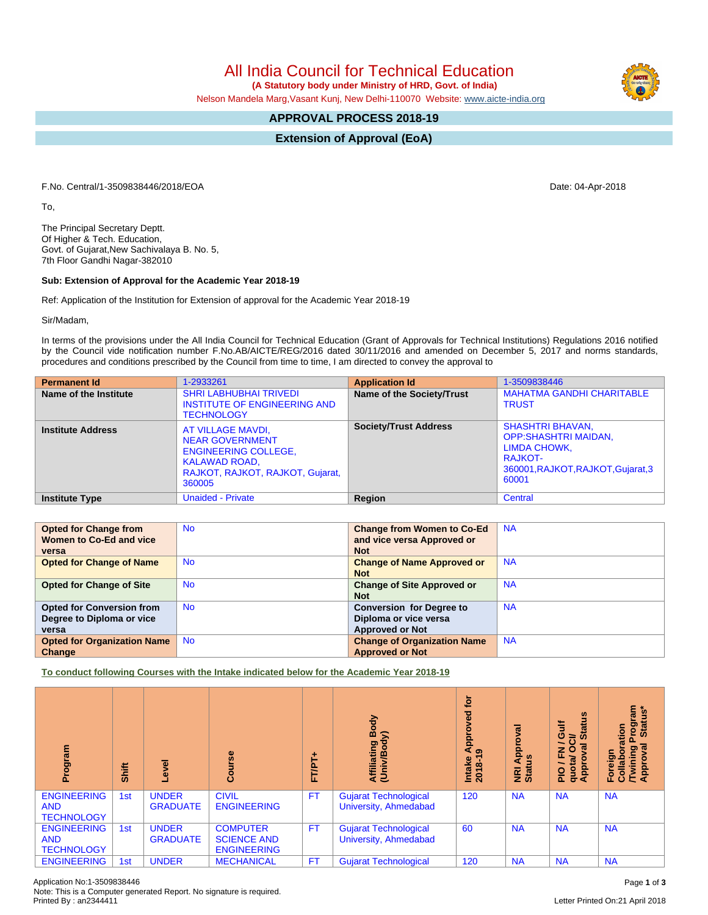All India Council for Technical Education

 **(A Statutory body under Ministry of HRD, Govt. of India)**

Nelson Mandela Marg,Vasant Kunj, New Delhi-110070 Website: [www.aicte-india.org](http://www.aicte-india.org)

## **APPROVAL PROCESS 2018-19**

**Extension of Approval (EoA)**

F.No. Central/1-3509838446/2018/EOA Date: 04-Apr-2018

To,

The Principal Secretary Deptt. Of Higher & Tech. Education, Govt. of Gujarat,New Sachivalaya B. No. 5, 7th Floor Gandhi Nagar-382010

## **Sub: Extension of Approval for the Academic Year 2018-19**

Ref: Application of the Institution for Extension of approval for the Academic Year 2018-19

Sir/Madam,

In terms of the provisions under the All India Council for Technical Education (Grant of Approvals for Technical Institutions) Regulations 2016 notified by the Council vide notification number F.No.AB/AICTE/REG/2016 dated 30/11/2016 and amended on December 5, 2017 and norms standards, procedures and conditions prescribed by the Council from time to time, I am directed to convey the approval to

| <b>Permanent Id</b>      | 1-2933261                                                                                                                                 | <b>Application Id</b>        | 1-3509838446                                                                                                                            |
|--------------------------|-------------------------------------------------------------------------------------------------------------------------------------------|------------------------------|-----------------------------------------------------------------------------------------------------------------------------------------|
| Name of the Institute    | <b>SHRI LABHUBHAI TRIVEDI</b><br>INSTITUTE OF ENGINEERING AND<br><b>TECHNOLOGY</b>                                                        | Name of the Society/Trust    | <b>MAHATMA GANDHI CHARITABLE</b><br><b>TRUST</b>                                                                                        |
| <b>Institute Address</b> | AT VILLAGE MAVDI,<br><b>NEAR GOVERNMENT</b><br><b>ENGINEERING COLLEGE,</b><br>KALAWAD ROAD,<br>RAJKOT, RAJKOT, RAJKOT, Gujarat,<br>360005 | <b>Society/Trust Address</b> | <b>SHASHTRI BHAVAN,</b><br><b>OPP:SHASHTRI MAIDAN,</b><br>LIMDA CHOWK,<br><b>RAJKOT-</b><br>360001, RAJKOT, RAJKOT, Gujarat, 3<br>60001 |
| <b>Institute Type</b>    | <b>Unaided - Private</b>                                                                                                                  | Region                       | Central                                                                                                                                 |

| <b>Opted for Change from</b>       | <b>No</b> | <b>Change from Women to Co-Ed</b>  | <b>NA</b> |
|------------------------------------|-----------|------------------------------------|-----------|
| Women to Co-Ed and vice            |           | and vice versa Approved or         |           |
| versa                              |           | <b>Not</b>                         |           |
| <b>Opted for Change of Name</b>    | <b>No</b> | <b>Change of Name Approved or</b>  | <b>NA</b> |
|                                    |           | <b>Not</b>                         |           |
| <b>Opted for Change of Site</b>    | <b>No</b> | <b>Change of Site Approved or</b>  | <b>NA</b> |
|                                    |           | <b>Not</b>                         |           |
| <b>Opted for Conversion from</b>   | <b>No</b> | <b>Conversion for Degree to</b>    | <b>NA</b> |
| Degree to Diploma or vice          |           | Diploma or vice versa              |           |
| versa                              |           | <b>Approved or Not</b>             |           |
| <b>Opted for Organization Name</b> | <b>No</b> | <b>Change of Organization Name</b> | <b>NA</b> |
| Change                             |           | <b>Approved or Not</b>             |           |

**To conduct following Courses with the Intake indicated below for the Academic Year 2018-19**

| Program                                               | Shift           | ō<br>٩                          | $\frac{6}{5}$<br>යි                                         | ۰<br>FT/PT | Body<br>$\widehat{\phantom{a}}$<br>Affiliating<br>(Univ/Bod <sub>)</sub> | <b>jo</b><br>g<br>윤<br>ၜ<br>Intake<br>2018-1 | ಸ<br><b>Appl</b><br><b>NRI Ap</b><br>Status | <b>Status</b><br>₹<br>O<br>∋<br>6<br>준<br>quotal<br>Appro<br>$\frac{1}{2}$ | rogram<br>Status*<br><b>Statu</b><br>noita<br><b>Twining</b><br>Approval<br>Foreign<br>Collab |
|-------------------------------------------------------|-----------------|---------------------------------|-------------------------------------------------------------|------------|--------------------------------------------------------------------------|----------------------------------------------|---------------------------------------------|----------------------------------------------------------------------------|-----------------------------------------------------------------------------------------------|
| <b>ENGINEERING</b><br><b>AND</b><br><b>TECHNOLOGY</b> | 1 <sub>st</sub> | <b>UNDER</b><br><b>GRADUATE</b> | <b>CIVIL</b><br><b>ENGINEERING</b>                          | <b>FT</b>  | <b>Gujarat Technological</b><br>University, Ahmedabad                    | 120                                          | <b>NA</b>                                   | <b>NA</b>                                                                  | <b>NA</b>                                                                                     |
| <b>ENGINEERING</b><br><b>AND</b><br><b>TECHNOLOGY</b> | 1st             | <b>UNDER</b><br><b>GRADUATE</b> | <b>COMPUTER</b><br><b>SCIENCE AND</b><br><b>ENGINEERING</b> | <b>FT</b>  | Gujarat Technological<br><b>University, Ahmedabad</b>                    | 60                                           | <b>NA</b>                                   | <b>NA</b>                                                                  | <b>NA</b>                                                                                     |
| <b>ENGINEERING</b>                                    | 1st             | <b>UNDER</b>                    | <b>MECHANICAL</b>                                           | <b>FT</b>  | <b>Gujarat Technological</b>                                             | 120                                          | <b>NA</b>                                   | <b>NA</b>                                                                  | <b>NA</b>                                                                                     |